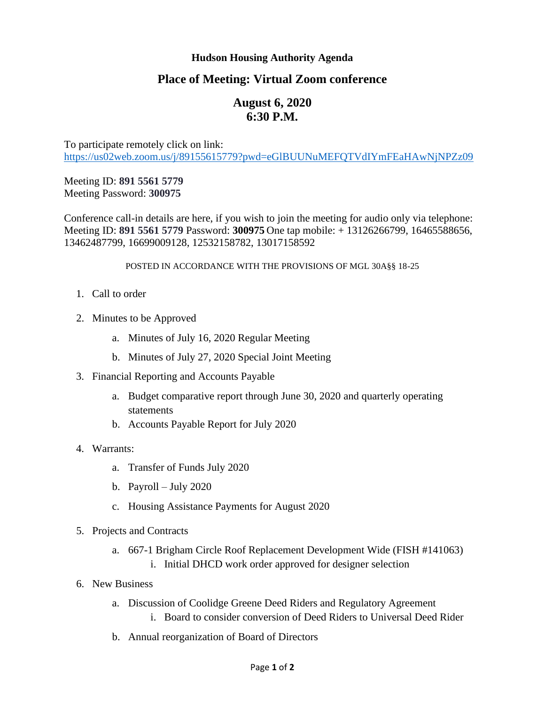### **Hudson Housing Authority Agenda**

## **Place of Meeting: Virtual Zoom conference**

# **August 6, 2020 6:30 P.M.**

To participate remotely click on link: <https://us02web.zoom.us/j/89155615779?pwd=eGlBUUNuMEFQTVdIYmFEaHAwNjNPZz09>

Meeting ID: **891 5561 5779** Meeting Password: **300975**

Conference call-in details are here, if you wish to join the meeting for audio only via telephone: Meeting ID: **891 5561 5779** Password: **300975** One tap mobile: + 13126266799, 16465588656, 13462487799, 16699009128, 12532158782, 13017158592

#### POSTED IN ACCORDANCE WITH THE PROVISIONS OF MGL 30A§§ 18-25

- 1. Call to order
- 2. Minutes to be Approved
	- a. Minutes of July 16, 2020 Regular Meeting
	- b. Minutes of July 27, 2020 Special Joint Meeting
- 3. Financial Reporting and Accounts Payable
	- a. Budget comparative report through June 30, 2020 and quarterly operating statements
	- b. Accounts Payable Report for July 2020
- 4. Warrants:
	- a. Transfer of Funds July 2020
	- b. Payroll July 2020
	- c. Housing Assistance Payments for August 2020
- 5. Projects and Contracts
	- a. 667-1 Brigham Circle Roof Replacement Development Wide (FISH #141063) i. Initial DHCD work order approved for designer selection
- 6. New Business
	- a. Discussion of Coolidge Greene Deed Riders and Regulatory Agreement i. Board to consider conversion of Deed Riders to Universal Deed Rider
	- b. Annual reorganization of Board of Directors